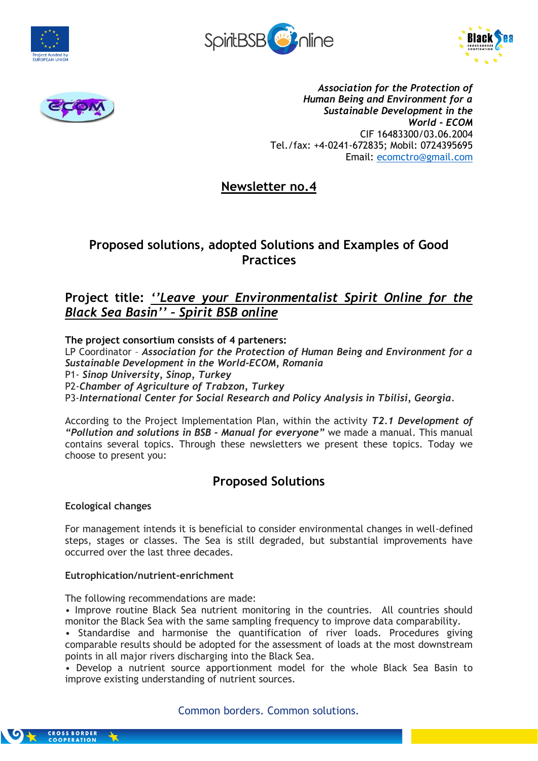







*Association for the Protection of Human Being and Environment for a Sustainable Development in the World - ECOM* CIF 16483300/03.06.2004 Tel./fax: +4-0241-672835; Mobil: 0724395695 Email: [ecomctro@gmail.com](mailto:ecomctro@gmail.com)

# **Newsletter no.4**

# **Proposed solutions, adopted Solutions and Examples of Good Practices**

# **Project title:** *''Leave your Environmentalist Spirit Online for the Black Sea Basin'' – Spirit BSB online*

# **The project consortium consists of 4 parteners:**

LP Coordinator – *Association for the Protection of Human Being and Environment for a Sustainable Development in the World-ECOM, Romania* P1- *Sinop University, Sinop, Turkey* P2-*Chamber of Agriculture of Trabzon, Turkey* P3-*International Center for Social Research and Policy Analysis in Tbilisi, Georgia.*

According to the Project Implementation Plan, within the activity *T2.1 Development of "Pollution and solutions in BSB - Manual for everyone"* we made a manual. This manual contains several topics. Through these newsletters we present these topics. Today we choose to present you:

# **Proposed Solutions**

## **Ecological changes**

For management intends it is beneficial to consider environmental changes in well-defined steps, stages or classes. The Sea is still degraded, but substantial improvements have occurred over the last three decades.

## **Eutrophication/nutrient-enrichment**

The following recommendations are made:

• Improve routine Black Sea nutrient monitoring in the countries. All countries should monitor the Black Sea with the same sampling frequency to improve data comparability.

• Standardise and harmonise the quantification of river loads. Procedures giving comparable results should be adopted for the assessment of loads at the most downstream points in all major rivers discharging into the Black Sea.

• Develop a nutrient source apportionment model for the whole Black Sea Basin to improve existing understanding of nutrient sources.

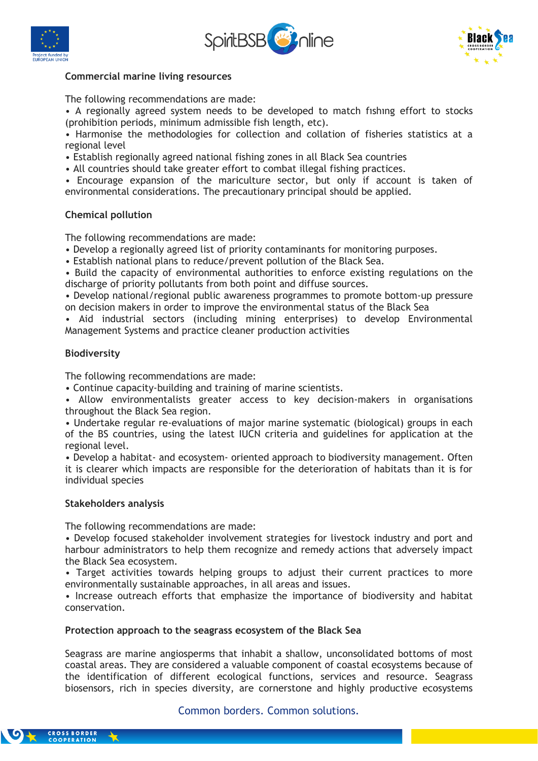





## **Commercial marine living resources**

The following recommendations are made:

• A regionally agreed system needs to be developed to match fıshıng effort to stocks (prohibition periods, minimum admissible fish length, etc).

• Harmonise the methodologies for collection and collation of fisheries statistics at a regional level

- Establish regionally agreed national fishing zones in all Black Sea countries
- All countries should take greater effort to combat illegal fishing practices.

• Encourage expansion of the mariculture sector, but only if account is taken of environmental considerations. The precautionary principal should be applied.

## **Chemical pollution**

The following recommendations are made:

- Develop a regionally agreed list of priority contaminants for monitoring purposes.
- Establish national plans to reduce/prevent pollution of the Black Sea.

• Build the capacity of environmental authorities to enforce existing regulations on the discharge of priority pollutants from both point and diffuse sources.

• Develop national/regional public awareness programmes to promote bottom-up pressure on decision makers in order to improve the environmental status of the Black Sea

• Aid industrial sectors (including mining enterprises) to develop Environmental Management Systems and practice cleaner production activities

## **Biodiversity**

The following recommendations are made:

• Continue capacity-building and training of marine scientists.

• Allow environmentalists greater access to key decision-makers in organisations throughout the Black Sea region.

• Undertake regular re-evaluations of major marine systematic (biological) groups in each of the BS countries, using the latest IUCN criteria and guidelines for application at the regional level.

• Develop a habitat- and ecosystem- oriented approach to biodiversity management. Often it is clearer which impacts are responsible for the deterioration of habitats than it is for individual species

### **Stakeholders analysis**

The following recommendations are made:

• Develop focused stakeholder involvement strategies for livestock industry and port and harbour administrators to help them recognize and remedy actions that adversely impact the Black Sea ecosystem.

• Target activities towards helping groups to adjust their current practices to more environmentally sustainable approaches, in all areas and issues.

• Increase outreach efforts that emphasize the importance of biodiversity and habitat conservation.

### **Protection approach to the seagrass ecosystem of the Black Sea**

Seagrass are marine angiosperms that inhabit a shallow, unconsolidated bottoms of most coastal areas. They are considered a valuable component of coastal ecosystems because of the identification of different ecological functions, services and resource. Seagrass biosensors, rich in species diversity, are cornerstone and highly productive ecosystems

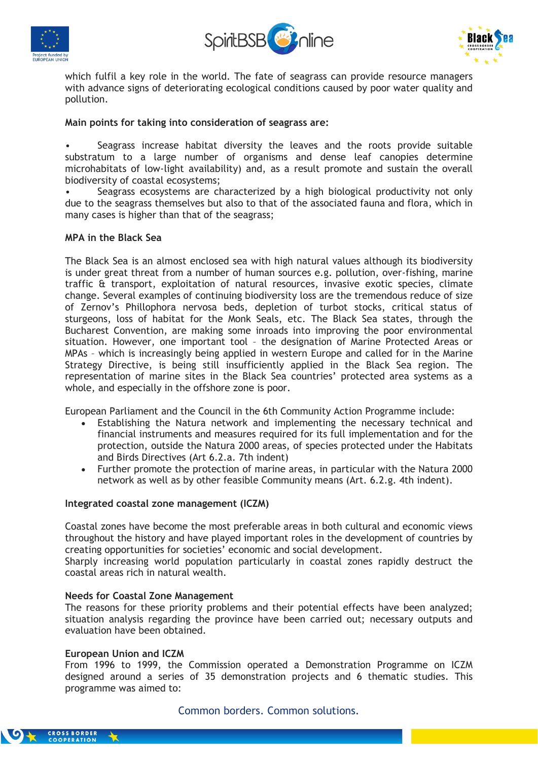





which fulfil a key role in the world. The fate of seagrass can provide resource managers with advance signs of deteriorating ecological conditions caused by poor water quality and pollution.

## **Main points for taking into consideration of seagrass are:**

Seagrass increase habitat diversity the leaves and the roots provide suitable substratum to a large number of organisms and dense leaf canopies determine microhabitats of low-light availability) and, as a result promote and sustain the overall biodiversity of coastal ecosystems;

Seagrass ecosystems are characterized by a high biological productivity not only due to the seagrass themselves but also to that of the associated fauna and flora, which in many cases is higher than that of the seagrass;

## **MPA in the Black Sea**

The Black Sea is an almost enclosed sea with high natural values although its biodiversity is under great threat from a number of human sources e.g. pollution, over-fishing, marine traffic & transport, exploitation of natural resources, invasive exotic species, climate change. Several examples of continuing biodiversity loss are the tremendous reduce of size of Zernov's Phillophora nervosa beds, depletion of turbot stocks, critical status of sturgeons, loss of habitat for the Monk Seals, etc. The Black Sea states, through the Bucharest Convention, are making some inroads into improving the poor environmental situation. However, one important tool – the designation of Marine Protected Areas or MPAs – which is increasingly being applied in western Europe and called for in the Marine Strategy Directive, is being still insufficiently applied in the Black Sea region. The representation of marine sites in the Black Sea countries' protected area systems as a whole, and especially in the offshore zone is poor.

European Parliament and the Council in the 6th Community Action Programme include:

- Establishing the Natura network and implementing the necessary technical and financial instruments and measures required for its full implementation and for the protection, outside the Natura 2000 areas, of species protected under the Habitats and Birds Directives (Art 6.2.a. 7th indent)
- Further promote the protection of marine areas, in particular with the Natura 2000 network as well as by other feasible Community means (Art. 6.2.g. 4th indent).

### **Integrated coastal zone management (ICZM)**

Coastal zones have become the most preferable areas in both cultural and economic views throughout the history and have played important roles in the development of countries by creating opportunities for societies' economic and social development.

Sharply increasing world population particularly in coastal zones rapidly destruct the coastal areas rich in natural wealth.

### **Needs for Coastal Zone Management**

The reasons for these priority problems and their potential effects have been analyzed; situation analysis regarding the province have been carried out; necessary outputs and evaluation have been obtained.

### **European Union and ICZM**

From 1996 to 1999, the Commission operated a Demonstration Programme on ICZM designed around a series of 35 demonstration projects and 6 thematic studies. This programme was aimed to: